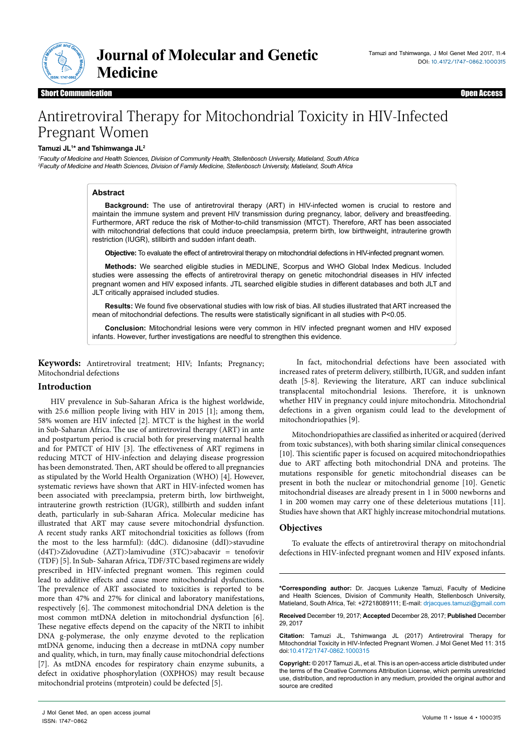

# Antiretroviral Therapy for Mitochondrial Toxicity in HIV-Infected Pregnant Women

#### **Tamuzi JL1 \* and Tshimwanga JL2**

*1 Faculty of Medicine and Health Sciences, Division of Community Health, Stellenbosch University, Matieland, South Africa 2 Faculty of Medicine and Health Sciences, Division of Family Medicine, Stellenbosch University, Matieland, South Africa*

## **Abstract**

**Background:** The use of antiretroviral therapy (ART) in HIV-infected women is crucial to restore and maintain the immune system and prevent HIV transmission during pregnancy, labor, delivery and breastfeeding. Furthermore, ART reduce the risk of Mother-to-child transmission (MTCT). Therefore, ART has been associated with mitochondrial defections that could induce preeclampsia, preterm birth, low birthweight, intrauterine growth restriction (IUGR), stillbirth and sudden infant death.

**Objective:** To evaluate the effect of antiretroviral therapy on mitochondrial defections in HIV-infected pregnant women.

**Methods:** We searched eligible studies in MEDLINE, Scorpus and WHO Global Index Medicus. Included studies were assessing the effects of antiretroviral therapy on genetic mitochondrial diseases in HIV infected pregnant women and HIV exposed infants. JTL searched eligible studies in different databases and both JLT and JLT critically appraised included studies.

**Results:** We found five observational studies with low risk of bias. All studies illustrated that ART increased the mean of mitochondrial defections. The results were statistically significant in all studies with P<0.05.

**Conclusion:** Mitochondrial lesions were very common in HIV infected pregnant women and HIV exposed infants. However, further investigations are needful to strengthen this evidence.

**Keywords:** Antiretroviral treatment; HIV; Infants; Pregnancy; Mitochondrial defections

# **Introduction**

HIV prevalence in Sub-Saharan Africa is the highest worldwide, with 25.6 million people living with HIV in 2015 [1]; among them, 58% women are HIV infected [2]. MTCT is the highest in the world in Sub-Saharan Africa. The use of antiretroviral therapy (ART) in ante and postpartum period is crucial both for preserving maternal health and for PMTCT of HIV [3]. The effectiveness of ART regimens in reducing MTCT of HIV-infection and delaying disease progression has been demonstrated. Then, ART should be offered to all pregnancies as stipulated by the World Health Organization (WHO) [4]. However, systematic reviews have shown that ART in HIV-infected women has been associated with preeclampsia, preterm birth, low birthweight, intrauterine growth restriction (IUGR), stillbirth and sudden infant death, particularly in sub-Saharan Africa. Molecular medicine has illustrated that ART may cause severe mitochondrial dysfunction. A recent study ranks ART mitochondrial toxicities as follows (from the most to the less harmful): (ddC). didanosine (ddI)>stavudine (d4T)>Zidovudine (AZT)>lamivudine (3TC)>abacavir = tenofovir (TDF) [5]. In Sub- Saharan Africa, TDF/3TC based regimens are widely prescribed in HIV-infected pregnant women. This regimen could lead to additive effects and cause more mitochondrial dysfunctions. The prevalence of ART associated to toxicities is reported to be more than 47% and 27% for clinical and laboratory manifestations, respectively [6]. The commonest mitochondrial DNA deletion is the most common mtDNA deletion in mitochondrial dysfunction [6]. These negative effects depend on the capacity of the NRTI to inhibit DNA g-polymerase, the only enzyme devoted to the replication mtDNA genome, inducing then a decrease in mtDNA copy number and quality, which, in turn, may finally cause mitochondrial defections [7]. As mtDNA encodes for respiratory chain enzyme subunits, a defect in oxidative phosphorylation (OXPHOS) may result because mitochondrial proteins (mtprotein) could be defected [5].

 In fact, mitochondrial defections have been associated with increased rates of preterm delivery, stillbirth, IUGR, and sudden infant death [5-8]. Reviewing the literature, ART can induce subclinical transplacental mitochondrial lesions. Therefore, it is unknown whether HIV in pregnancy could injure mitochondria. Mitochondrial defections in a given organism could lead to the development of mitochondriopathies [9].

Mitochondriopathies are classified as inherited or acquired (derived from toxic substances), with both sharing similar clinical consequences [10]. This scientific paper is focused on acquired mitochondriopathies due to ART affecting both mitochondrial DNA and proteins. The mutations responsible for genetic mitochondrial diseases can be present in both the nuclear or mitochondrial genome [10]. Genetic mitochondrial diseases are already present in 1 in 5000 newborns and 1 in 200 women may carry one of these deleterious mutations [11]. Studies have shown that ART highly increase mitochondrial mutations.

### **Objectives**

To evaluate the effects of antiretroviral therapy on mitochondrial defections in HIV-infected pregnant women and HIV exposed infants.

**\*Corresponding author:** Dr. Jacques Lukenze Tamuzi, Faculty of Medicine and Health Sciences, Division of Community Health, Stellenbosch University, Matieland, South Africa, Tel: +27218089111; E-mail: drjacques.tamuzi@gmail.com

**Received** December 19, 2017; **Accepted** December 28, 2017; **Published** December 29, 2017

**Citation:** Tamuzi JL, Tshimwanga JL (2017) Antiretroviral Therapy for Mitochondrial Toxicity in HIV-Infected Pregnant Women. J Mol Genet Med 11: 315 doi:10.4172/1747-0862.1000315

**Copyright:** © 2017 Tamuzi JL, et al. This is an open-access article distributed under the terms of the Creative Commons Attribution License, which permits unrestricted use, distribution, and reproduction in any medium, provided the original author and source are credited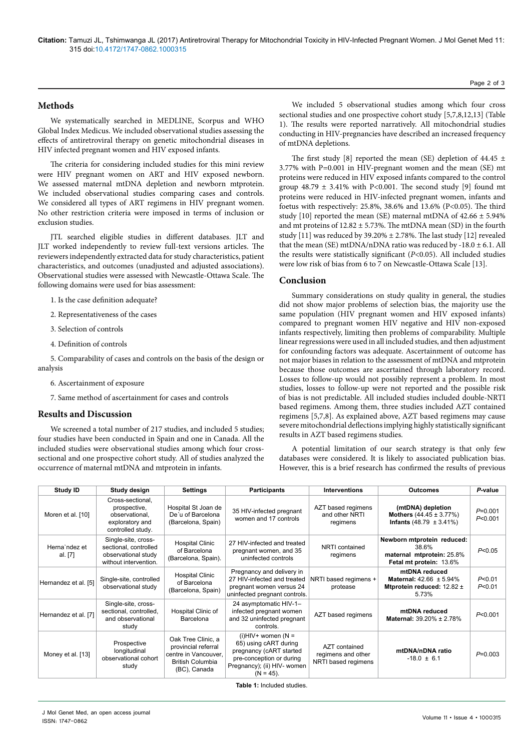## **Methods**

We systematically searched in MEDLINE, Scorpus and WHO Global Index Medicus. We included observational studies assessing the effects of antiretroviral therapy on genetic mitochondrial diseases in HIV infected pregnant women and HIV exposed infants.

The criteria for considering included studies for this mini review were HIV pregnant women on ART and HIV exposed newborn. We assessed maternal mtDNA depletion and newborn mtprotein. We included observational studies comparing cases and controls. We considered all types of ART regimens in HIV pregnant women. No other restriction criteria were imposed in terms of inclusion or exclusion studies.

JTL searched eligible studies in different databases. JLT and JLT worked independently to review full-text versions articles. The reviewers independently extracted data for study characteristics, patient characteristics, and outcomes (unadjusted and adjusted associations). Observational studies were assessed with Newcastle-Ottawa Scale. The following domains were used for bias assessment:

- 1. Is the case definition adequate?
- 2. Representativeness of the cases
- 3. Selection of controls
- 4. Definition of controls

5. Comparability of cases and controls on the basis of the design or analysis

- 6. Ascertainment of exposure
- 7. Same method of ascertainment for cases and controls

## **Results and Discussion**

We screened a total number of 217 studies, and included 5 studies; four studies have been conducted in Spain and one in Canada. All the included studies were observational studies among which four crosssectional and one prospective cohort study. All of studies analyzed the occurrence of maternal mtDNA and mtprotein in infants.

We included 5 observational studies among which four cross sectional studies and one prospective cohort study [5,7,8,12,13] (Table 1). The results were reported narratively. All mitochondrial studies conducting in HIV-pregnancies have described an increased frequency of mtDNA depletions.

The first study [8] reported the mean (SE) depletion of 44.45  $\pm$ 3.77% with P=0.001 in HIV-pregnant women and the mean (SE) mt proteins were reduced in HIV exposed infants compared to the control group  $48.79 \pm 3.41\%$  with P<0.001. The second study [9] found mt proteins were reduced in HIV-infected pregnant women, infants and foetus with respectively: 25.8%, 38.6% and 13.6% (P<0.05). The third study [10] reported the mean (SE) maternal mtDNA of  $42.66 \pm 5.94\%$ and mt proteins of  $12.82 \pm 5.73$ %. The mtDNA mean (SD) in the fourth study [11] was reduced by  $39.20\% \pm 2.78\%$ . The last study [12] revealed that the mean (SE) mtDNA/nDNA ratio was reduced by  $-18.0 \pm 6.1$ . All the results were statistically significant (*P*<0.05). All included studies were low risk of bias from 6 to 7 on Newcastle-Ottawa Scale [13].

#### **Conclusion**

Summary considerations on study quality in general, the studies did not show major problems of selection bias, the majority use the same population (HIV pregnant women and HIV exposed infants) compared to pregnant women HIV negative and HIV non-exposed infants respectively, limiting then problems of comparability. Multiple linear regressions were used in all included studies, and then adjustment for confounding factors was adequate. Ascertainment of outcome has not major biases in relation to the assessment of mtDNA and mtprotein because those outcomes are ascertained through laboratory record. Losses to follow-up would not possibly represent a problem. In most studies, losses to follow-up were not reported and the possible risk of bias is not predictable. All included studies included double-NRTI based regimens. Among them, three studies included AZT contained regimens [5,7,8]. As explained above, AZT based regimens may cause severe mitochondrial deflections implying highly statistically significant results in AZT based regimens studies.

A potential limitation of our search strategy is that only few databases were considered. It is likely to associated publication bias. However, this is a brief research has confirmed the results of previous

| Study ID                 | Study design                                                                                 | <b>Settings</b>                                                                                              | <b>Participants</b>                                                                                                                                  | <b>Interventions</b>                                       | <b>Outcomes</b>                                                                                | P-value              |
|--------------------------|----------------------------------------------------------------------------------------------|--------------------------------------------------------------------------------------------------------------|------------------------------------------------------------------------------------------------------------------------------------------------------|------------------------------------------------------------|------------------------------------------------------------------------------------------------|----------------------|
| Moren et al. [10]        | Cross-sectional,<br>prospective,<br>observational,<br>exploratory and<br>controlled study.   | Hospital St Joan de<br>De'u of Barcelona<br>(Barcelona, Spain)                                               | 35 HIV-infected pregnant<br>women and 17 controls                                                                                                    | AZT based regimens<br>and other NRTI<br>regimens           | (mtDNA) depletion<br><b>Mothers</b> $(44.45 \pm 3.77\%)$<br><b>Infants</b> (48.79 $\pm$ 3.41%) | $P=0.001$<br>P<0.001 |
| Herna'ndez et<br>al. [7] | Single-site, cross-<br>sectional, controlled<br>observational study<br>without intervention. | <b>Hospital Clinic</b><br>of Barcelona<br>(Barcelona, Spain).                                                | 27 HIV-infected and treated<br>pregnant women, and 35<br>uninfected controls                                                                         | NRTI contained<br>regimens                                 | Newborn mtprotein reduced:<br>38.6%<br>maternal mtprotein: 25.8%<br>Fetal mt protein: 13.6%    | P<0.05               |
| Hernandez et al. [5]     | Single-site, controlled<br>observational study                                               | <b>Hospital Clinic</b><br>of Barcelona<br>(Barcelona, Spain)                                                 | Pregnancy and delivery in<br>27 HIV-infected and treated<br>pregnant women versus 24<br>uninfected pregnant controls.                                | NRTI based regimens +<br>protease                          | mtDNA reduced<br>Maternal: $42.66 \pm 5.94\%$<br>Mtprotein reduced: 12.82 ±<br>5.73%           | P<0.01<br>P<0.01     |
| Hernandez et al. [7]     | Single-site, cross-<br>sectional, controlled,<br>and observational<br>study                  | Hospital Clinic of<br>Barcelona                                                                              | 24 asymptomatic HIV-1-<br>infected pregnant women<br>and 32 uninfected pregnant<br>controls.                                                         | AZT based regimens                                         | mtDNA reduced<br>Maternal: 39.20% ± 2.78%                                                      | P<0.001              |
| Money et al. [13]        | Prospective<br>longitudinal<br>observational cohort<br>study                                 | Oak Tree Clinic, a<br>provincial referral<br>centre in Vancouver,<br><b>British Columbia</b><br>(BC), Canada | $(i)$ HIV+ women (N =<br>65) using cART during<br>pregnancy (cART started<br>pre-conception or during<br>Pregnancy); (ii) HIV- women<br>$(N = 45)$ . | AZT contained<br>regimens and other<br>NRTI based regimens | mtDNA/nDNA ratio<br>$-18.0 \pm 6.1$                                                            | $P=0.003$            |

**Table 1:** Included studies.